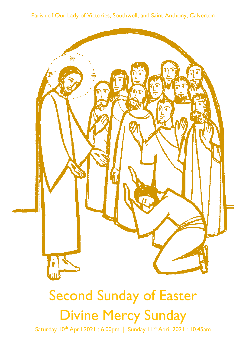Parish of Our Lady of Victories, Southwell, and Saint Anthony, Calverton



# **Second Sunday of Easter Divine Mercy Sunday**

Saturday 10<sup>th</sup> April 2021: 6.00pm | Sunday 11<sup>th</sup> April 2021: 10.45am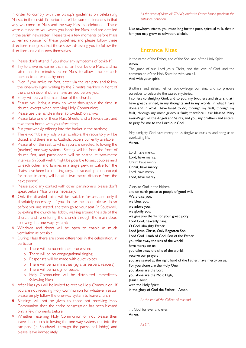In order to comply with the Bishop's guidelines on celebrating Masses in the covid-19 period there'll be some differences in that way we come to Mass and the way Mass is celebrated. These were outlined to you when you book for Mass, and are detailed in the parish newsletter. Please take a few moments before Mass to remind yourself of these guidelines, and please follow these directions, recognise that those stewards asking you to follow the directions are volunteers themselves:

- **※** Please don't attend if you show any symptoms of covid-19;
- Try to arrive no earlier than half an hour before Mass, and no later than ten minutes before Mass, to allow time for each person to enter one-by-one;
- $\overline{\mathbf{v}}$  Even if you arrive on foot, enter via the car park and follow the one-way signs, waiting by the 2 metre markers in front of the church door if others have arrived before you;
- $\overline{∗}$  Entry will be via the main door of the church:
- $\overline{∗}$  Ensure you bring a mask to wear throughout the time in church, except when receiving Holy Communion;
- $\overline{∗}$  Please use the hand-sanitiser (provided) on arrival;
- $\overline{∗}$  Please take one of these Mass Sheets, and a Newsletter, and take them home with you after Mass;
- $\overline{∗}$  Put your weekly offering into the basket in the narthex;
- $\overline{\mathbf{v}}$  There won't be any holy water available, the repository will be closed, and there are no Catholic papers currently available;
- $\overline{∗}$  Please sit on the seat to which you are directed, following the (marked) one-way system. Seating will be from the front of church first, and parishioners will be seated at two-metre intervals (in Southwell it might be possible to seat couples next to each other, and families in a single pew; in Calverton the chairs have been laid out singularly, and so each person, except for babes-in-arms, will be at a two-metre distance from the next person):
- \* Please avoid any contact with other parishioners; please don't speak before Mass unless necessary;
- $\Phi$  Only the disabled toilet will be available for use, and only if absolutely necessary. If you do use the toilet, please do so before you are seated, and then go to your seat (in Southwell, by exiting the church hall lobby, walking around the side of the church, and re-entering the church through the main door, following the one-way system);
- \* Windows and doors will be open to enable as much ventilation as possible;
- $\overline{∗}$  During Mass there are some differences in the celebration, in particular:
	- o There will be no entrance procession;
	- o There will be no congregational singing;
	- o Responses will be made with quiet voices;
	- o There will be no ministries (eg altar servers, readers);
	- o There will be no sign of peace;
	- o Holy Communion will be distributed immediately following Mass;
- After Mass you will be invited to receive Holy Communion. If you are not receiving Holy Communion for whatever reason please simply follow the one-way system to leave church.
- **E** Blessings will not be given to those not receiving Holy Communion since the entire congregation has been blessed only a few moments before.
- \* Whether receiving Holy Communion or not, please then leave the church following the one-way system, out into the car park (in Southwell, through the parish hall lobby) and please leave immediately.

As the start of Mass all STAND, and with Father Simon proclaim the entrance antiphon.

Like newborn infants, you must long for the pure, spiritual milk, that in him you may grow to salvation, alleluia.

## **Entrance Rites**

In the name of the Father, and of the Son, and of the Holy Spirit. Amen

The grace of our Lord Jesus Christ, and the love of God, and the communion of the Holy Spirit be with you all. And with your spirit.

Brothers and sisters, let us acknowledge our sins, and so prepare ourselves to celebrate the sacred mysteries.

I confess to almighty God, and to you, my brothers and sisters, that I have greatly sinned, in my thoughts and in my words, in what I have done and in what I have failed to do, through my fault, through my fault, through my most grievous fault; therefore I ask blessed Mary ever-Virgin, all the Angels and Saints, and you, my brothers and sisters, to pray for me to the Lord our God.

May almighty God have mercy on us, forgive us our sins, and bring us to everlasting life. Amen.

Lord, have mercy. Lord, have mercy. Christ, have mercy. Christ, have mercy. Lord, have mercy. Lord, have mercy.

Glory to God in the highest, and on earth peace to people of good will. We praise you, we bless you, we adore you, we glorify you, we give you thanks for your great glory, Lord God, heavenly King, O God, almighty Father. Lord Jesus Christ, Only Begotten Son. Lord God, Lamb of God, Son of the Father, you take away the sins of the world, have mercy on us; you take away the sins of the world, receive our prayer; you are seated at the right hand of the Father, have mercy on us. For you alone are the Holy One. you alone are the Lord, you alone are the Most High, lesus Christ, with the Holy Spirit, in the glory of God the Father. Amen.

At the end of the Collect all respond:

... God, for ever and ever. Amen.

All SIT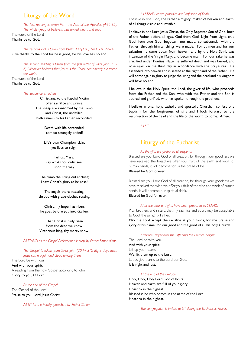# **Liturgy of the Word**

The first reading is taken from the Acts of the Apostles (4:32-35): The whole group of believers was united, heart and soul. The word of the Lord. Thanks be to God.

The responsorial is taken from Psalm 117(118):2-4.15-18.22-24: Give thanks to the Lord for he is good, for his love has no end.

The second reading is taken from the first letter of Saint John (5:1-6): Whoever believes that Jesus is the Christ has already overcome the world The word of the Lord. Thanks be to God.

The Sequence is recited:

Christians, to the Paschal Victim offer sacrifice and praise. The sheep are ransomed by the Lamb; and Christ the undefiled hath sinners to his Father reconciled.

> Death with life contended: combat strangely ended!

Life's own Champion, slain, yet lives to reign.

Tell us, Mary: say what thou didst see upon the way.

The tomb the Living did enclose; I saw Christ's glory as he rose!

The angels there attesting; shroud with grave-clothes resting.

Christ, my hope, has risen: he goes before you into Galilee.

That Christ is truly risen from the dead we know. Victorious king, thy mercy show!

All STAND as the Gospel Acclamation is sung by Father Simon alone.

The Gospel is taken from Saint John (20:19-31): Eight days later, Jesus came again and stood among them.

The Lord be with you. And with your spirit. A reading from the holy Gospel according to John. Glory to you, O Lord.

#### At the end of the Gospel:

The Gospel of the Lord. Praise to you, Lord Jesus Christ.

All SIT for the homily, preached by Father Simon.

#### All STAND as we proclaim our Profession of Faith:

I believe in one God, the Father almighty, maker of heaven and earth, of all things visible and invisible.

I believe in one Lord Jesus Christ, the Only Begotten Son of God, born of the Father before all ages. God from God, Light from Light, true God from true God, begotten, not made, consubstantial with the Father; through him all things were made. For us men and for our salvation he came down from heaven, and by the Holy Spirit was incarnate of the Virgin Mary, and became man. For our sake he was crucified under Pontius Pilate, he suffered death and was buried, and rose again on the third day in accordance with the Scriptures. He ascended into heaven and is seated at the right hand of the Father. He will come again in glory to judge the living and the dead and his kingdom will have no end.

I believe in the Holy Spirit, the Lord, the giver of life, who proceeds from the Father and the Son, who with the Father and the Son is adored and glorified, who has spoken through the prophets.

I believe in one, holy, catholic and apostolic Church. I confess one baptism for the forgiveness of sins and I look forward to the resurrection of the dead and the life of the world to come. Amen.

AIL CIT

## Liturgy of the Eucharist

#### As the gifts are prepared all respond:

Blessed are you, Lord God of all creation, for through your goodness we have received the bread we offer you: fruit of the earth and work of human hands, it will become for us the bread of life. Blessed be God forever

Blessed are you, Lord God of all creation, for through your goodness we have received the wine we offer you: fruit of the vine and work of human hands, it will become our spiritual drink. Blessed be God for ever.

#### After the altar and gifts have been prepared all STAND:

Pray brothers and sisters, that my sacrifice and yours may be acceptable to God, the almighty Father.

May the Lord accept the sacrifice at your hands, for the praise and glory of his name, for our good and the good of all his holy Church.

#### After the Prayer over the Offerings the Preface begins:

The Lord be with you. And with your spirit. Lift up your hearts. We lift them up to the Lord. Let us give thanks to the Lord our God. It is right and just.

## At the end of the Preface:

Holy, Holy, Holy Lord God of hosts. Heaven and earth are full of your glory. Hosanna in the highest. Blessed is he who comes in the name of the Lord. Hosanna in the highest.

The congregation is invited to SIT during the Eucharistic Prayer.